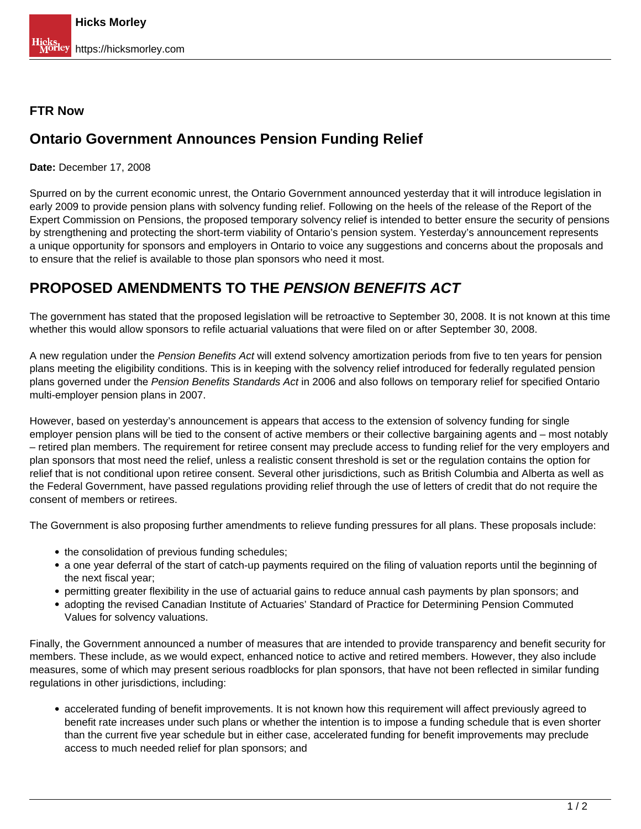## **FTR Now**

## **Ontario Government Announces Pension Funding Relief**

**Date:** December 17, 2008

Spurred on by the current economic unrest, the Ontario Government announced yesterday that it will introduce legislation in early 2009 to provide pension plans with solvency funding relief. Following on the heels of the release of the Report of the Expert Commission on Pensions, the proposed temporary solvency relief is intended to better ensure the security of pensions by strengthening and protecting the short-term viability of Ontario's pension system. Yesterday's announcement represents a unique opportunity for sponsors and employers in Ontario to voice any suggestions and concerns about the proposals and to ensure that the relief is available to those plan sponsors who need it most.

## **PROPOSED AMENDMENTS TO THE PENSION BENEFITS ACT**

The government has stated that the proposed legislation will be retroactive to September 30, 2008. It is not known at this time whether this would allow sponsors to refile actuarial valuations that were filed on or after September 30, 2008.

A new regulation under the Pension Benefits Act will extend solvency amortization periods from five to ten years for pension plans meeting the eligibility conditions. This is in keeping with the solvency relief introduced for federally regulated pension plans governed under the Pension Benefits Standards Act in 2006 and also follows on temporary relief for specified Ontario multi-employer pension plans in 2007.

However, based on yesterday's announcement is appears that access to the extension of solvency funding for single employer pension plans will be tied to the consent of active members or their collective bargaining agents and – most notably – retired plan members. The requirement for retiree consent may preclude access to funding relief for the very employers and plan sponsors that most need the relief, unless a realistic consent threshold is set or the regulation contains the option for relief that is not conditional upon retiree consent. Several other jurisdictions, such as British Columbia and Alberta as well as the Federal Government, have passed regulations providing relief through the use of letters of credit that do not require the consent of members or retirees.

The Government is also proposing further amendments to relieve funding pressures for all plans. These proposals include:

- the consolidation of previous funding schedules;
- a one year deferral of the start of catch-up payments required on the filing of valuation reports until the beginning of the next fiscal year;
- permitting greater flexibility in the use of actuarial gains to reduce annual cash payments by plan sponsors; and
- adopting the revised Canadian Institute of Actuaries' Standard of Practice for Determining Pension Commuted Values for solvency valuations.

Finally, the Government announced a number of measures that are intended to provide transparency and benefit security for members. These include, as we would expect, enhanced notice to active and retired members. However, they also include measures, some of which may present serious roadblocks for plan sponsors, that have not been reflected in similar funding regulations in other jurisdictions, including:

accelerated funding of benefit improvements. It is not known how this requirement will affect previously agreed to benefit rate increases under such plans or whether the intention is to impose a funding schedule that is even shorter than the current five year schedule but in either case, accelerated funding for benefit improvements may preclude access to much needed relief for plan sponsors; and